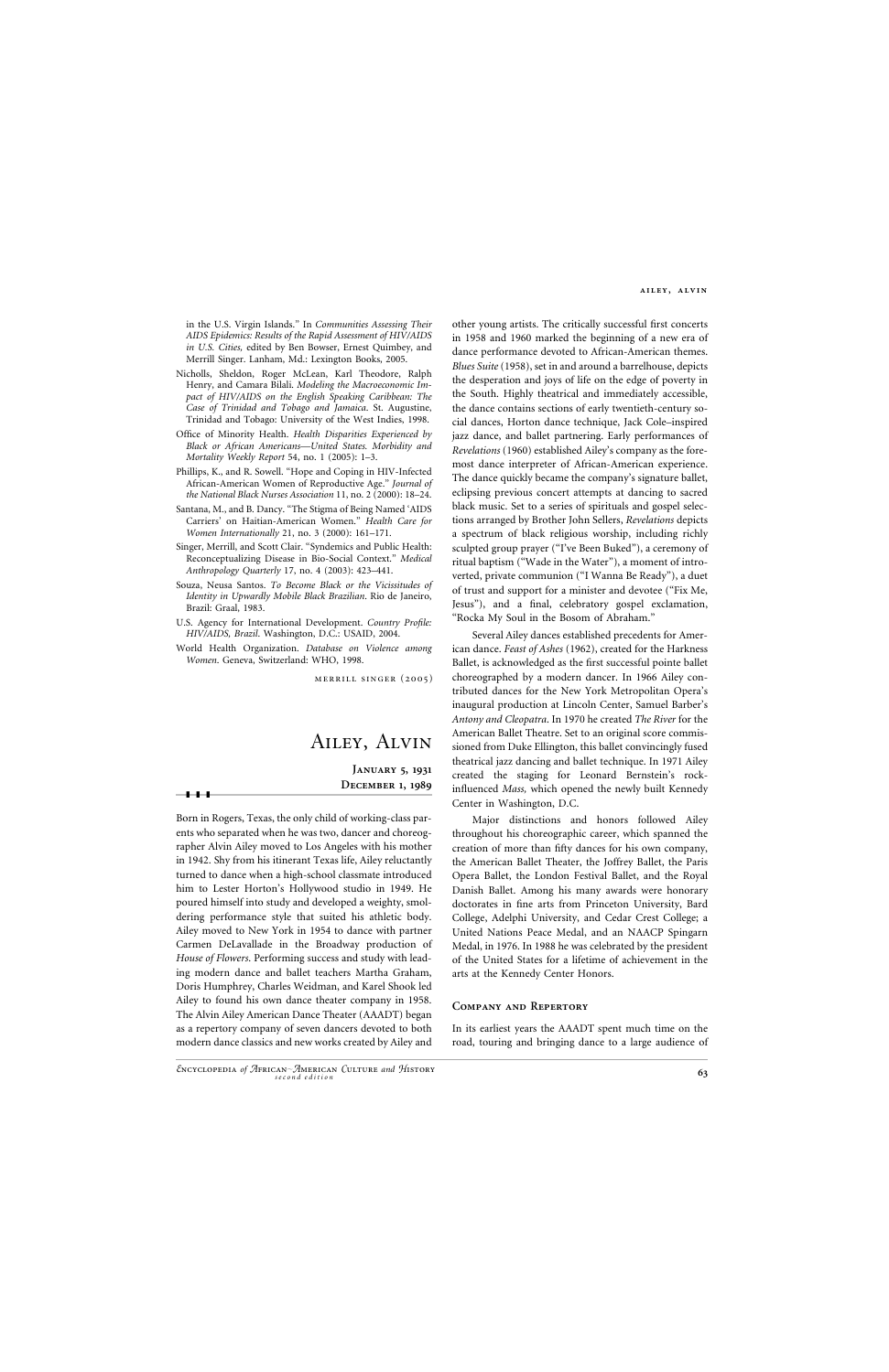in the U.S. Virgin Islands." In *Communities Assessing Their AIDS Epidemics: Results of the Rapid Assessment of HIV/AIDS in U.S. Cities,* edited by Ben Bowser, Ernest Quimbey, and Merrill Singer. Lanham, Md.: Lexington Books, 2005.

- Nicholls, Sheldon, Roger McLean, Karl Theodore, Ralph Henry, and Camara Bilali. *Modeling the Macroeconomic Impact of HIV/AIDS on the English Speaking Caribbean: The Case of Trinidad and Tobago and Jamaica*. St. Augustine, Trinidad and Tobago: University of the West Indies, 1998.
- Office of Minority Health. *Health Disparities Experienced by Black or African Americans—United States. Morbidity and Mortality Weekly Report* 54, no. 1 (2005): 1–3.
- Phillips, K., and R. Sowell. "Hope and Coping in HIV-Infected African-American Women of Reproductive Age." *Journal of the National Black Nurses Association* 11, no. 2 (2000): 18–24.
- Santana, M., and B. Dancy. "The Stigma of Being Named 'AIDS Carriers' on Haitian-American Women." *Health Care for Women Internationally* 21, no. 3 (2000): 161–171.
- Singer, Merrill, and Scott Clair. "Syndemics and Public Health: Reconceptualizing Disease in Bio-Social Context." *Medical Anthropology Quarterly* 17, no. 4 (2003): 423–441.
- Souza, Neusa Santos. *To Become Black or the Vicissitudes of Identity in Upwardly Mobile Black Brazilian*. Rio de Janeiro, Brazil: Graal, 1983.
- U.S. Agency for International Development. *Country Profile: HIV/AIDS, Brazil*. Washington, D.C.: USAID, 2004.
- World Health Organization. *Database on Violence among Women*. Geneva, Switzerland: WHO, 1998.

merrill singer (2005)

## Ailey, Alvin

**January 5, 1931 December 1, 1989**

Born in Rogers, Texas, the only child of working-class parents who separated when he was two, dancer and choreographer Alvin Ailey moved to Los Angeles with his mother in 1942. Shy from his itinerant Texas life, Ailey reluctantly turned to dance when a high-school classmate introduced him to Lester Horton's Hollywood studio in 1949. He poured himself into study and developed a weighty, smoldering performance style that suited his athletic body. Ailey moved to New York in 1954 to dance with partner Carmen DeLavallade in the Broadway production of *House of Flowers*. Performing success and study with leading modern dance and ballet teachers Martha Graham, Doris Humphrey, Charles Weidman, and Karel Shook led Ailey to found his own dance theater company in 1958. The Alvin Ailey American Dance Theater (AAADT) began as a repertory company of seven dancers devoted to both modern dance classics and new works created by Ailey and

 $\rightarrow$ 

other young artists. The critically successful first concerts in 1958 and 1960 marked the beginning of a new era of dance performance devoted to African-American themes. *Blues Suite* (1958), set in and around a barrelhouse, depicts the desperation and joys of life on the edge of poverty in the South. Highly theatrical and immediately accessible, the dance contains sections of early twentieth-century social dances, Horton dance technique, Jack Cole–inspired jazz dance, and ballet partnering. Early performances of *Revelations* (1960) established Ailey's company as the foremost dance interpreter of African-American experience. The dance quickly became the company's signature ballet, eclipsing previous concert attempts at dancing to sacred black music. Set to a series of spirituals and gospel selections arranged by Brother John Sellers, *Revelations* depicts a spectrum of black religious worship, including richly sculpted group prayer ("I've Been Buked"), a ceremony of ritual baptism ("Wade in the Water"), a moment of introverted, private communion ("I Wanna Be Ready"), a duet of trust and support for a minister and devotee ("Fix Me, Jesus"), and a final, celebratory gospel exclamation, "Rocka My Soul in the Bosom of Abraham."

Several Ailey dances established precedents for American dance. *Feast of Ashes* (1962), created for the Harkness Ballet, is acknowledged as the first successful pointe ballet choreographed by a modern dancer. In 1966 Ailey contributed dances for the New York Metropolitan Opera's inaugural production at Lincoln Center, Samuel Barber's *Antony and Cleopatra*. In 1970 he created *The River* for the American Ballet Theatre. Set to an original score commissioned from Duke Ellington, this ballet convincingly fused theatrical jazz dancing and ballet technique. In 1971 Ailey created the staging for Leonard Bernstein's rockinfluenced *Mass,* which opened the newly built Kennedy Center in Washington, D.C.

Major distinctions and honors followed Ailey throughout his choreographic career, which spanned the creation of more than fifty dances for his own company, the American Ballet Theater, the Joffrey Ballet, the Paris Opera Ballet, the London Festival Ballet, and the Royal Danish Ballet. Among his many awards were honorary doctorates in fine arts from Princeton University, Bard College, Adelphi University, and Cedar Crest College; a United Nations Peace Medal, and an NAACP Spingarn Medal, in 1976. In 1988 he was celebrated by the president of the United States for a lifetime of achievement in the arts at the Kennedy Center Honors.

#### **Company and Repertory**

In its earliest years the AAADT spent much time on the road, touring and bringing dance to a large audience of

**ailey, alvin**

*<sup>E</sup>*ncyclopedia *of <sup>A</sup>*frican*A*merican *<sup>C</sup>*ulture *and <sup>H</sup>*istory **<sup>63</sup>** *second edition*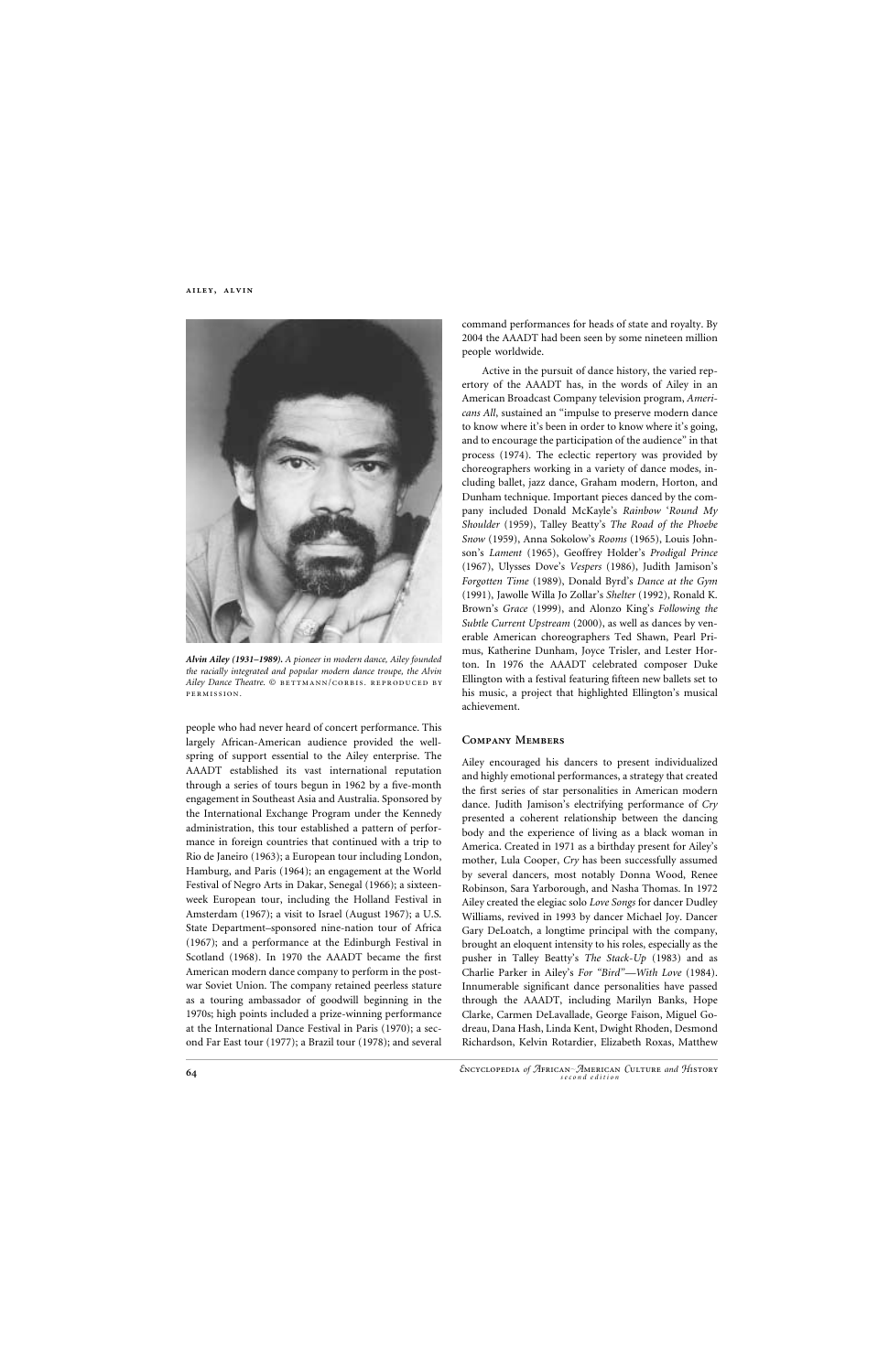

*Alvin Ailey (1931–1989). A pioneer in modern dance, Ailey founded the racially integrated and popular modern dance troupe, the Alvin* Ailey Dance Theatre. © BETTMANN/CORBIS. REPRODUCED BY permission.

people who had never heard of concert performance. This largely African-American audience provided the wellspring of support essential to the Ailey enterprise. The AAADT established its vast international reputation through a series of tours begun in 1962 by a five-month engagement in Southeast Asia and Australia. Sponsored by the International Exchange Program under the Kennedy administration, this tour established a pattern of performance in foreign countries that continued with a trip to Rio de Janeiro (1963); a European tour including London, Hamburg, and Paris (1964); an engagement at the World Festival of Negro Arts in Dakar, Senegal (1966); a sixteenweek European tour, including the Holland Festival in Amsterdam (1967); a visit to Israel (August 1967); a U.S. State Department–sponsored nine-nation tour of Africa (1967); and a performance at the Edinburgh Festival in Scotland (1968). In 1970 the AAADT became the first American modern dance company to perform in the postwar Soviet Union. The company retained peerless stature as a touring ambassador of goodwill beginning in the 1970s; high points included a prize-winning performance at the International Dance Festival in Paris (1970); a second Far East tour (1977); a Brazil tour (1978); and several

command performances for heads of state and royalty. By 2004 the AAADT had been seen by some nineteen million people worldwide.

Active in the pursuit of dance history, the varied repertory of the AAADT has, in the words of Ailey in an American Broadcast Company television program, *Americans All*, sustained an "impulse to preserve modern dance to know where it's been in order to know where it's going, and to encourage the participation of the audience" in that process (1974). The eclectic repertory was provided by choreographers working in a variety of dance modes, including ballet, jazz dance, Graham modern, Horton, and Dunham technique. Important pieces danced by the company included Donald McKayle's *Rainbow* '*Round My Shoulder* (1959), Talley Beatty's *The Road of the Phoebe Snow* (1959), Anna Sokolow's *Rooms* (1965), Louis Johnson's *Lament* (1965), Geoffrey Holder's *Prodigal Prince* (1967), Ulysses Dove's *Vespers* (1986), Judith Jamison's *Forgotten Time* (1989), Donald Byrd's *Dance at the Gym* (1991), Jawolle Willa Jo Zollar's *Shelter* (1992), Ronald K. Brown's *Grace* (1999), and Alonzo King's *Following the Subtle Current Upstream* (2000), as well as dances by venerable American choreographers Ted Shawn, Pearl Primus, Katherine Dunham, Joyce Trisler, and Lester Horton. In 1976 the AAADT celebrated composer Duke Ellington with a festival featuring fifteen new ballets set to his music, a project that highlighted Ellington's musical achievement.

#### **Company Members**

Ailey encouraged his dancers to present individualized and highly emotional performances, a strategy that created the first series of star personalities in American modern dance. Judith Jamison's electrifying performance of *Cry* presented a coherent relationship between the dancing body and the experience of living as a black woman in America. Created in 1971 as a birthday present for Ailey's mother, Lula Cooper, *Cry* has been successfully assumed by several dancers, most notably Donna Wood, Renee Robinson, Sara Yarborough, and Nasha Thomas. In 1972 Ailey created the elegiac solo *Love Songs* for dancer Dudley Williams, revived in 1993 by dancer Michael Joy. Dancer Gary DeLoatch, a longtime principal with the company, brought an eloquent intensity to his roles, especially as the pusher in Talley Beatty's *The Stack-Up* (1983) and as Charlie Parker in Ailey's *For "Bird"—With Love* (1984). Innumerable significant dance personalities have passed through the AAADT, including Marilyn Banks, Hope Clarke, Carmen DeLavallade, George Faison, Miguel Godreau, Dana Hash, Linda Kent, Dwight Rhoden, Desmond Richardson, Kelvin Rotardier, Elizabeth Roxas, Matthew

#### **ailey, alvin**

*<sup>E</sup>*ncyclopedia *of <sup>A</sup>*frican*A*merican *<sup>C</sup>*ulture *and <sup>H</sup>*istory **<sup>64</sup>** *second edition*